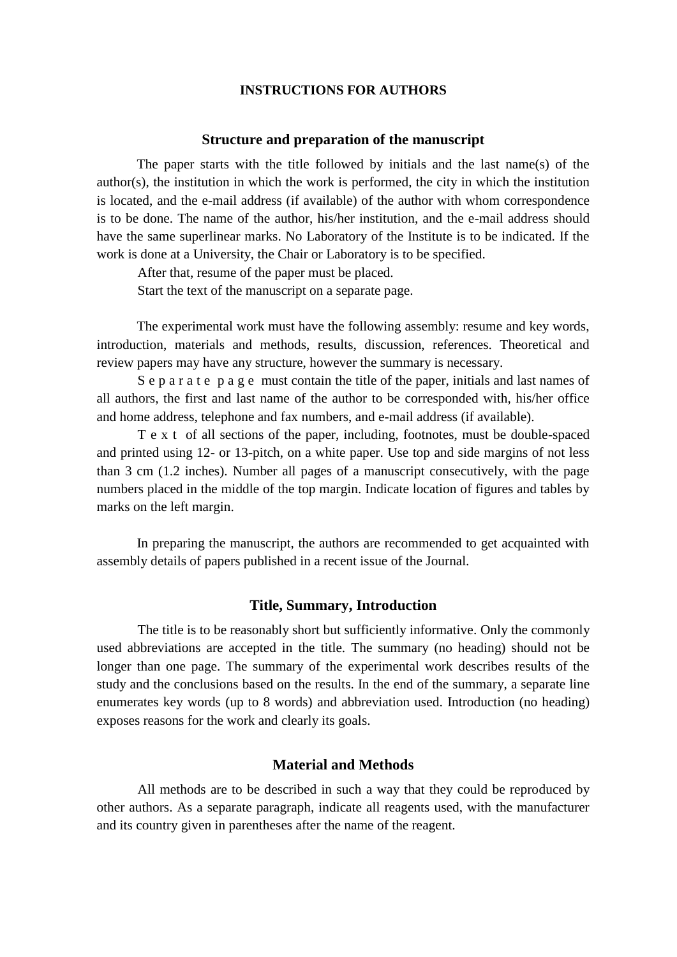### **[INSTRUCTIONS FOR AUTHORS](http://protistology.ifmo.ru/instructions/instructions.htm)**

#### **Structure and preparation of the manuscript**

The paper starts with the title followed by initials and the last name(s) of the author(s), the institution in which the work is performed, the city in which the institution is located, and the e-mail address (if available) of the author with whom correspondence is to be done. The name of the author, his/her institution, and the e-mail address should have the same superlinear marks. No Laboratory of the Institute is to be indicated. If the work is done at a University, the Chair or Laboratory is to be specified.

After that, resume of the paper must be placed.

Start the text of the manuscript on a separate page.

The experimental work must have the following assembly: resume and key words, introduction, materials and methods, results, discussion, references. Theoretical and review papers may have any structure, however the summary is necessary.

S e p a r a t e p a g e must contain the title of the paper, initials and last names of all authors, the first and last name of the author to be corresponded with, his/her office and home address, telephone and fax numbers, and e-mail address (if available).

T e x t of all sections of the paper, including, footnotes, must be double-spaced and printed using 12- or 13-pitch, on a white paper. Use top and side margins of not less than 3 cm (1.2 inches). Number all pages of a manuscript consecutively, with the page numbers placed in the middle of the top margin. Indicate location of figures and tables by marks on the left margin.

In preparing the manuscript, the authors are recommended to get acquainted with assembly details of papers published in a recent issue of the Journal.

## **Title, Summary, Introduction**

The title is to be reasonably short but sufficiently informative. Only the commonly used abbreviations are accepted in the title. The summary (no heading) should not be longer than one page. The summary of the experimental work describes results of the study and the conclusions based on the results. In the end of the summary, a separate line enumerates key words (up to 8 words) and abbreviation used. Introduction (no heading) exposes reasons for the work and clearly its goals.

# **Material and Methods**

All methods are to be described in such a way that they could be reproduced by other authors. As a separate paragraph, indicate all reagents used, with the manufacturer and its country given in parentheses after the name of the reagent.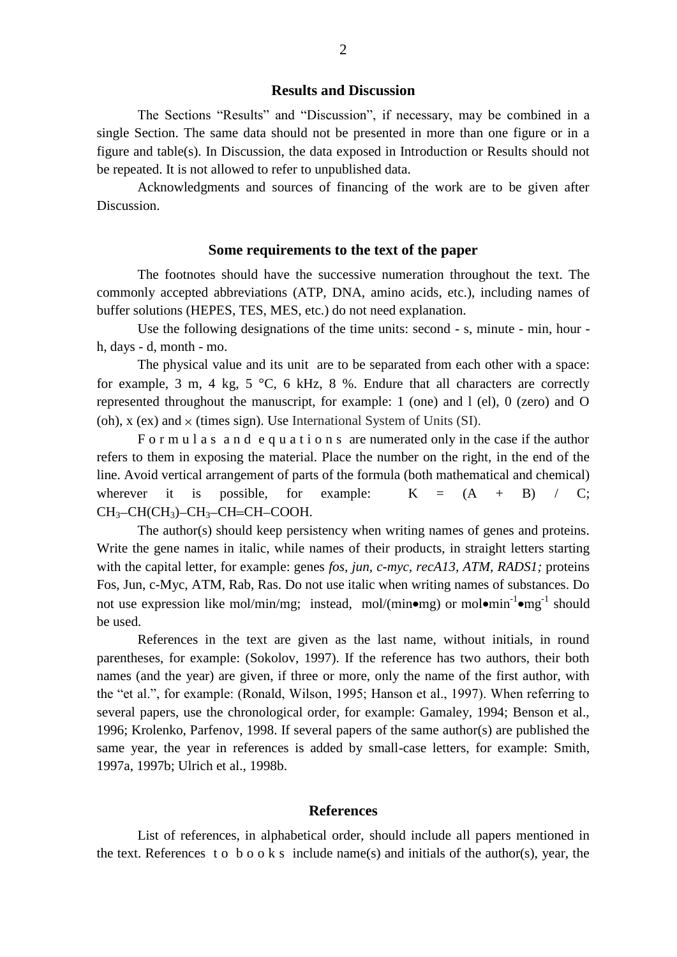## **Results and Discussion**

The Sections "Results" and "Discussion", if necessary, may be combined in a single Section. The same data should not be presented in more than one figure or in a figure and table(s). In Discussion, the data exposed in Introduction or Results should not be repeated. It is not allowed to refer to unpublished data.

Acknowledgments and sources of financing of the work are to be given after Discussion.

## **Some requirements to the text of the paper**

The footnotes should have the successive numeration throughout the text. The commonly accepted abbreviations (ATP, DNA, amino acids, etc.), including names of buffer solutions (HEPES, TES, MES, etc.) do not need explanation.

Use the following designations of the time units: second - s, minute - min, hour h, days - d, month - mo.

The physical value and its unit are to be separated from each other with a space: for example, 3 m, 4 kg, 5  $^{\circ}$ C, 6 kHz, 8 %. Endure that all characters are correctly represented throughout the manuscript, for example: 1 (one) and l (el), 0 (zero) and O (oh),  $x$  (ex) and  $\times$  (times sign). Use International System of Units (SI).

F o r m u l a s a n d e q u a t i o n s are numerated only in the case if the author refers to them in exposing the material. Place the number on the right, in the end of the line. Avoid vertical arrangement of parts of the formula (both mathematical and chemical) wherever it is possible, for example:  $K = (A + B) / C$ ;  $CH<sub>3</sub>-CH(CH<sub>3</sub>)-CH<sub>3</sub>-CH=CH-COOH.$ 

The author(s) should keep persistency when writing names of genes and proteins. Write the gene names in italic, while names of their products, in straight letters starting with the capital letter, for example: genes *fos, jun, c-myc, recA13, ATM, RADS1;* proteins Fos, Jun, c-Myc, ATM, Rab, Ras. Do not use italic when writing names of substances. Do not use expression like mol/min/mg; instead, mol/(min $\bullet$ mg) or mol $\bullet$ min<sup>-1</sup> $\bullet$ mg<sup>-1</sup> should be used.

References in the text are given as the last name, without initials, in round parentheses, for example: (Sokolov, 1997). If the reference has two authors, their both names (and the year) are given, if three or more, only the name of the first author, with the "et al.", for example: (Ronald, Wilson, 1995; Hanson et al., 1997). When referring to several papers, use the chronological order, for example: Gamaley, 1994; Benson et al., 1996; Krolenko, Parfenov, 1998. If several papers of the same author(s) are published the same year, the year in references is added by small-case letters, for example: Smith, 1997a, 1997b; Ulrich et al., 1998b.

### **References**

List of references, in alphabetical order, should include all papers mentioned in the text. References to book s include name(s) and initials of the author(s), year, the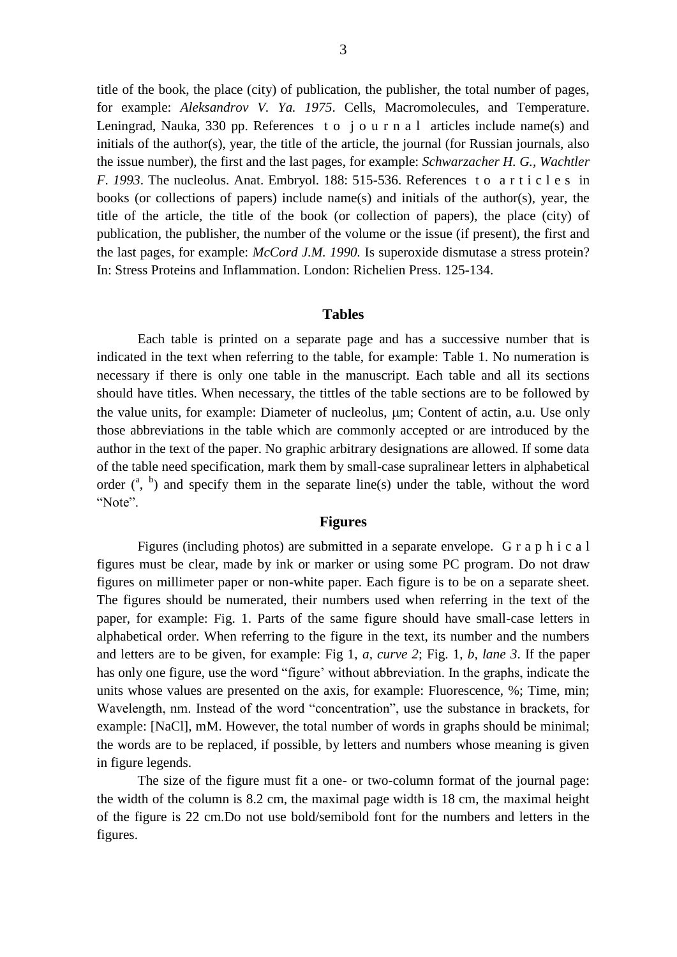title of the book, the place (city) of publication, the publisher, the total number of pages, for example: *Aleksandrov V. Ya. 1975*. Cells, Macromolecules, and Temperature. Leningrad, Nauka, 330 pp. References to journ a l articles include name(s) and initials of the author(s), year, the title of the article, the journal (for Russian journals, also the issue number), the first and the last pages, for example: *Schwarzacher H. G., Wachtler F*. *1993*. The nucleolus. Anat. Embryol. 188: 515-536. References t o a r t i c l e s in books (or collections of papers) include name(s) and initials of the author(s), year, the title of the article, the title of the book (or collection of papers), the place (city) of publication, the publisher, the number of the volume or the issue (if present), the first and the last pages, for example: *McCord J.M. 1990.* Is superoxide dismutase a stress protein? In: Stress Proteins and Inflammation. London: Richelien Press. 125-134.

### **Tables**

Each table is printed on a separate page and has a successive number that is indicated in the text when referring to the table, for example: Table 1. No numeration is necessary if there is only one table in the manuscript. Each table and all its sections should have titles. When necessary, the tittles of the table sections are to be followed by the value units, for example: Diameter of nucleolus,  $\mu$ m; Content of actin, a.u. Use only those abbreviations in the table which are commonly accepted or are introduced by the author in the text of the paper. No graphic arbitrary designations are allowed. If some data of the table need specification, mark them by small-case supralinear letters in alphabetical order  $\binom{a, b}{}$  and specify them in the separate line(s) under the table, without the word "Note".

# **Figures**

Figures (including photos) are submitted in a separate envelope. G r a p h i c a l figures must be clear, made by ink or marker or using some PC program. Do not draw figures on millimeter paper or non-white paper. Each figure is to be on a separate sheet. The figures should be numerated, their numbers used when referring in the text of the paper, for example: Fig. 1. Parts of the same figure should have small-case letters in alphabetical order. When referring to the figure in the text, its number and the numbers and letters are to be given, for example: Fig 1, *a, curve 2*; Fig. 1, *b, lane 3*. If the paper has only one figure, use the word "figure' without abbreviation. In the graphs, indicate the units whose values are presented on the axis, for example: Fluorescence, %; Time, min; Wavelength, nm. Instead of the word "concentration", use the substance in brackets, for example: [NaCl], mM. However, the total number of words in graphs should be minimal; the words are to be replaced, if possible, by letters and numbers whose meaning is given in figure legends.

The size of the figure must fit a one- or two-column format of the journal page: the width of the column is 8.2 cm, the maximal page width is 18 cm, the maximal height of the figure is 22 cm.Do not use bold/semibold font for the numbers and letters in the figures.